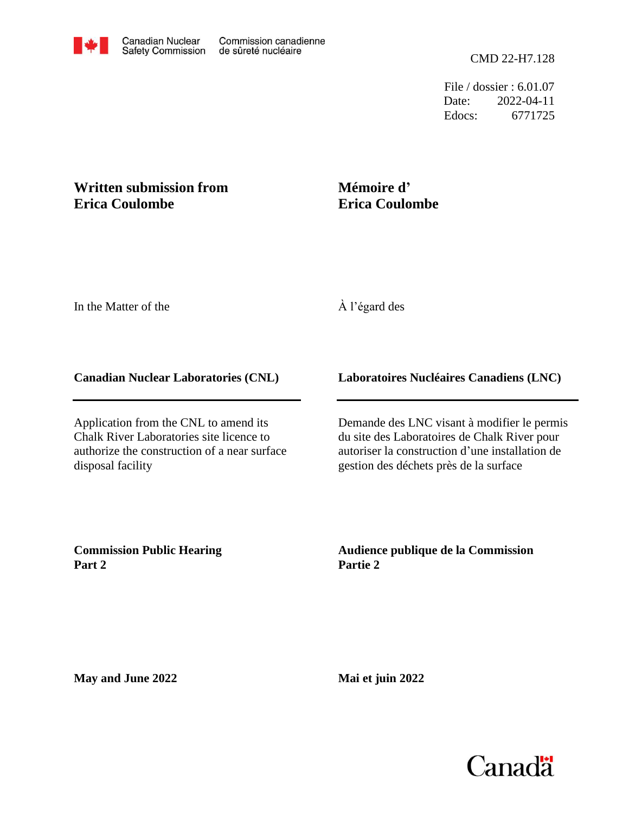File / dossier : 6.01.07 Date: 2022-04-11 Edocs: 6771725

## **Written submission from Erica Coulombe**

# **Mémoire d' Erica Coulombe**

In the Matter of the

### À l'égard des

#### **Canadian Nuclear Laboratories (CNL)**

Application from the CNL to amend its Chalk River Laboratories site licence to authorize the construction of a near surface disposal facility

### **Laboratoires Nucléaires Canadiens (LNC)**

Demande des LNC visant à modifier le permis du site des Laboratoires de Chalk River pour autoriser la construction d'une installation de gestion des déchets près de la surface

**Commission Public Hearing Part 2**

**Audience publique de la Commission Partie 2**

**May and June 2022**

**Mai et juin 2022**